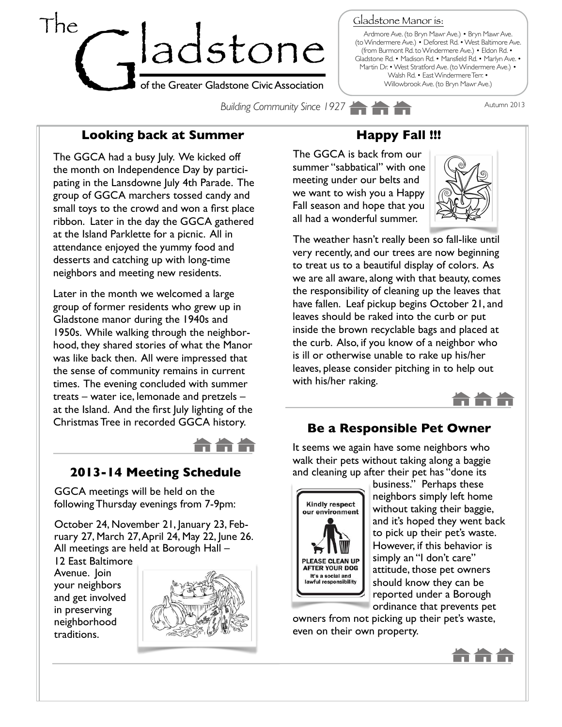

Gladstone Manor is:

Ardmore Ave. (to Bryn Mawr Ave.) • Bryn Mawr Ave. (to Windermere Ave.) • Deforest Rd. • West Baltimore Ave. (from Burmont Rd. to Windermere Ave.) • Eldon Rd. • Gladstone Rd. • Madison Rd. • Mansfield Rd. • Marlyn Ave. • Martin Dr. • West Stratford Ave. (to Windermere Ave.) • Walsh Rd. • East Windermere Terr. • Willowbrook Ave. (to Bryn Mawr Ave.)

**Building Community Since 1927 Autumn 2013** 

#### **Looking back at Summer**

The GGCA had a busy July. We kicked off the month on Independence Day by participating in the Lansdowne July 4th Parade. The group of GGCA marchers tossed candy and small toys to the crowd and won a first place ribbon. Later in the day the GGCA gathered at the Island Parklette for a picnic. All in attendance enjoyed the yummy food and desserts and catching up with long-time neighbors and meeting new residents.

Later in the month we welcomed a large group of former residents who grew up in Gladstone manor during the 1940s and 1950s. While walking through the neighborhood, they shared stories of what the Manor was like back then. All were impressed that the sense of community remains in current times. The evening concluded with summer treats – water ice, lemonade and pretzels – at the Island. And the first July lighting of the Christmas Tree in recorded GGCA history.



#### **2013-14 Meeting Schedule**

GGCA meetings will be held on the following Thursday evenings from 7-9pm:

October 24, November 21, January 23, February 27, March 27, April 24, May 22, June 26. All meetings are held at Borough Hall –

12 East Baltimore Avenue. Join your neighbors and get involved in preserving neighborhood traditions.



# **Happy Fall !!!**

The GGCA is back from our summer "sabbatical" with one meeting under our belts and we want to wish you a Happy Fall season and hope that you all had a wonderful summer.



The weather hasn't really been so fall-like until very recently, and our trees are now beginning to treat us to a beautiful display of colors. As we are all aware, along with that beauty, comes the responsibility of cleaning up the leaves that have fallen. Leaf pickup begins October 21, and leaves should be raked into the curb or put inside the brown recyclable bags and placed at the curb. Also, if you know of a neighbor who is ill or otherwise unable to rake up his/her leaves, please consider pitching in to help out with his/her raking.



#### **Be a Responsible Pet Owner**

It seems we again have some neighbors who walk their pets without taking along a baggie and cleaning up after their pet has "done its



business." Perhaps these neighbors simply left home without taking their baggie, and it's hoped they went back to pick up their pet's waste. However, if this behavior is simply an "I don't care" attitude, those pet owners should know they can be reported under a Borough ordinance that prevents pet

owners from not picking up their pet's waste, even on their own property.